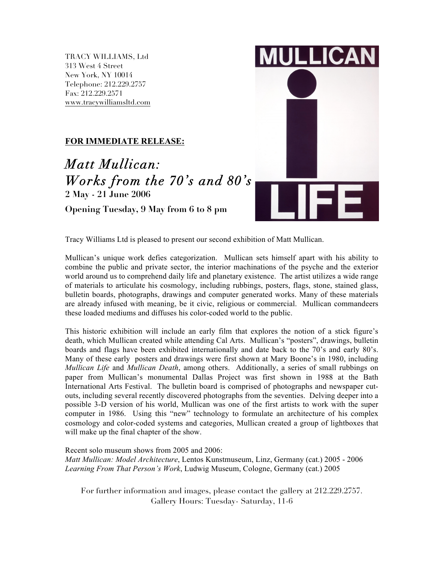TRACY WILLIAMS, Ltd 313 West 4 Street New York, NY 10014 Telephone: 212.229.2757 Fax: 212.229.2571 www.tracywilliamsltd.com

## **FOR IMMEDIATE RELEASE:**

*Matt Mullican: Works from the 70's and 80's* **2 May - 21 June 2006**

**Opening Tuesday, 9 May from 6 to 8 pm**



Tracy Williams Ltd is pleased to present our second exhibition of Matt Mullican.

Mullican's unique work defies categorization. Mullican sets himself apart with his ability to combine the public and private sector, the interior machinations of the psyche and the exterior world around us to comprehend daily life and planetary existence. The artist utilizes a wide range of materials to articulate his cosmology, including rubbings, posters, flags, stone, stained glass, bulletin boards, photographs, drawings and computer generated works. Many of these materials are already infused with meaning, be it civic, religious or commercial. Mullican commandeers these loaded mediums and diffuses his color-coded world to the public.

This historic exhibition will include an early film that explores the notion of a stick figure's death, which Mullican created while attending Cal Arts. Mullican's "posters", drawings, bulletin boards and flags have been exhibited internationally and date back to the 70's and early 80's. Many of these early posters and drawings were first shown at Mary Boone's in 1980, including *Mullican Life* and *Mullican Death*, among others. Additionally, a series of small rubbings on paper from Mullican's monumental Dallas Project was first shown in 1988 at the Bath International Arts Festival. The bulletin board is comprised of photographs and newspaper cutouts, including several recently discovered photographs from the seventies. Delving deeper into a possible 3-D version of his world, Mullican was one of the first artists to work with the super computer in 1986. Using this "new" technology to formulate an architecture of his complex cosmology and color-coded systems and categories, Mullican created a group of lightboxes that will make up the final chapter of the show.

Recent solo museum shows from 2005 and 2006: *Matt Mullican: Model Architecture*, Lentos Kunstmuseum, Linz, Germany (cat.) 2005 - 2006 *Learning From That Person's Work*, Ludwig Museum, Cologne, Germany (cat.) 2005

For further information and images, please contact the gallery at 212.229.2757. Gallery Hours: Tuesday- Saturday, 11-6